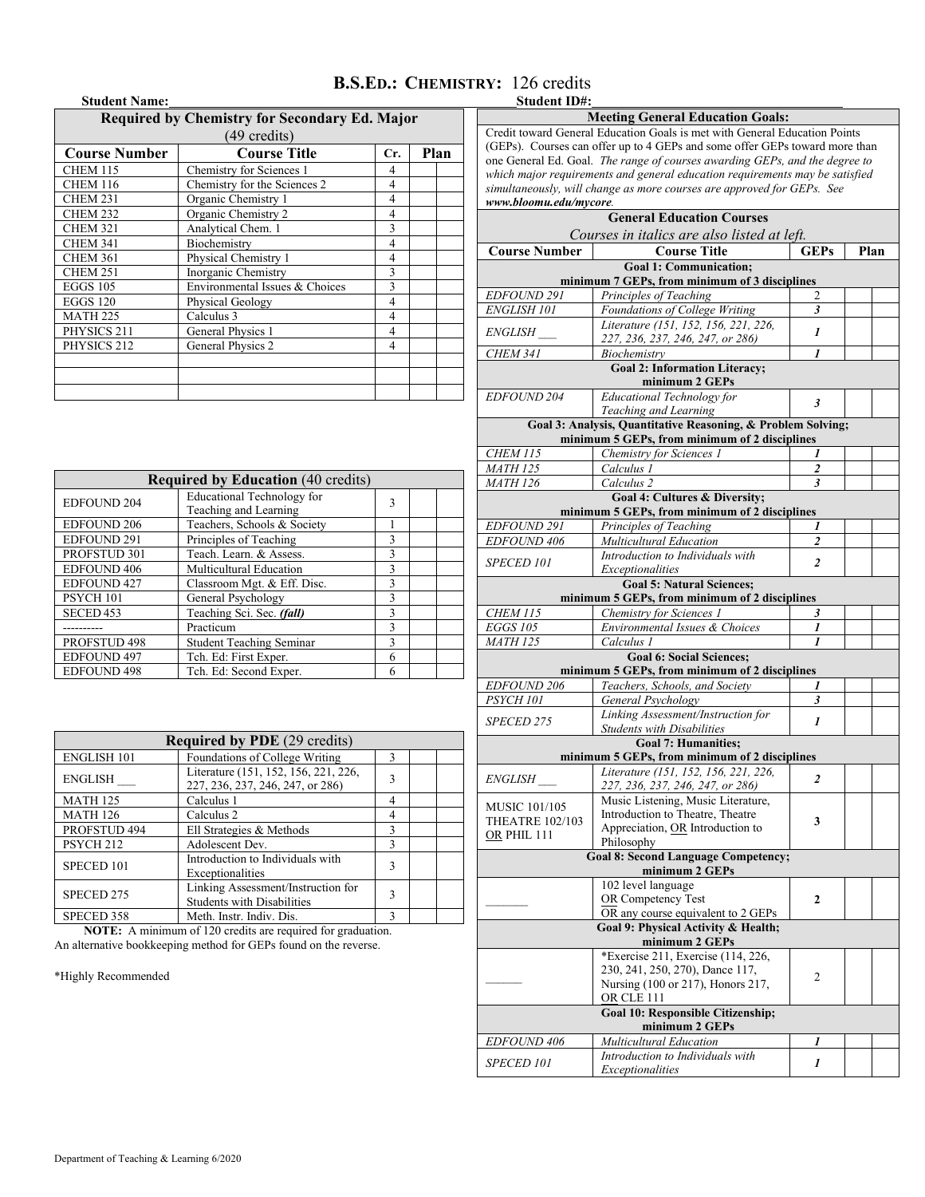## **B.S.ED.: CHEMISTRY:** 126 credits<br> **Student ID#:**

## **Student Name:**

## **Required by Chemistry for Secondary Ed. Major**

| (49 credits)         |                                |   |  |  |  |  |  |
|----------------------|--------------------------------|---|--|--|--|--|--|
| <b>Course Number</b> | <b>Course Title</b>            |   |  |  |  |  |  |
| CHEM 115             | Chemistry for Sciences 1       | 4 |  |  |  |  |  |
| <b>CHEM 116</b>      | Chemistry for the Sciences 2   | 4 |  |  |  |  |  |
| <b>CHEM 231</b>      | Organic Chemistry 1            | 4 |  |  |  |  |  |
| <b>CHEM 232</b>      | Organic Chemistry 2            | 4 |  |  |  |  |  |
| <b>CHEM 321</b>      | Analytical Chem. 1             | 3 |  |  |  |  |  |
| <b>CHEM 341</b>      | Biochemistry                   | 4 |  |  |  |  |  |
| <b>CHEM 361</b>      | Physical Chemistry 1           | 4 |  |  |  |  |  |
| <b>CHEM 251</b>      | Inorganic Chemistry            | 3 |  |  |  |  |  |
| <b>EGGS 105</b>      | Environmental Issues & Choices | 3 |  |  |  |  |  |
| <b>EGGS 120</b>      | Physical Geology               | 4 |  |  |  |  |  |
| <b>MATH 225</b>      | Calculus 3                     | 4 |  |  |  |  |  |
| PHYSICS 211          | General Physics 1              | 4 |  |  |  |  |  |
| PHYSICS 212          | General Physics 2              | 4 |  |  |  |  |  |
|                      |                                |   |  |  |  |  |  |
|                      |                                |   |  |  |  |  |  |
|                      |                                |   |  |  |  |  |  |

| <b>Required by Education (40 credits)</b> |                                                            |   |  |  |  |  |
|-------------------------------------------|------------------------------------------------------------|---|--|--|--|--|
| <b>EDFOUND 204</b>                        | <b>Educational Technology for</b><br>Teaching and Learning | 3 |  |  |  |  |
| <b>EDFOUND 206</b>                        | Teachers, Schools & Society                                |   |  |  |  |  |
| <b>EDFOUND 291</b>                        | Principles of Teaching                                     | 3 |  |  |  |  |
| PROFSTUD 301                              | Teach. Learn. & Assess.                                    | 3 |  |  |  |  |
| <b>EDFOUND 406</b>                        | Multicultural Education                                    | 3 |  |  |  |  |
| <b>EDFOUND 427</b>                        | Classroom Mgt. & Eff. Disc.                                | 3 |  |  |  |  |
| PSYCH <sub>101</sub>                      | General Psychology                                         | 3 |  |  |  |  |
| SECED <sub>453</sub>                      | Teaching Sci. Sec. (fall)                                  | 3 |  |  |  |  |
|                                           | Practicum                                                  | 3 |  |  |  |  |
| PROFSTUD 498                              | <b>Student Teaching Seminar</b>                            | 3 |  |  |  |  |
| EDFOUND 497                               | Tch. Ed: First Exper.                                      | 6 |  |  |  |  |
| <b>EDFOUND 498</b>                        | Tch. Ed: Second Exper.                                     | 6 |  |  |  |  |

| <b>Required by PDE</b> (29 credits) |                                                                          |              |  |  |  |
|-------------------------------------|--------------------------------------------------------------------------|--------------|--|--|--|
| <b>ENGLISH 101</b>                  | ٩                                                                        |              |  |  |  |
| <b>ENGLISH</b>                      | Literature (151, 152, 156, 221, 226,<br>227, 236, 237, 246, 247, or 286) | $\mathbf{3}$ |  |  |  |
| <b>MATH 125</b>                     | Calculus 1                                                               | 4            |  |  |  |
| <b>MATH 126</b><br>Calculus 2       |                                                                          | 4            |  |  |  |
| PROFSTUD 494                        | Ell Strategies & Methods                                                 |              |  |  |  |
| PSYCH <sub>212</sub>                | Adolescent Dev.                                                          | $\mathbf{3}$ |  |  |  |
| SPECED 101                          | Introduction to Individuals with<br>Exceptionalities                     | 3            |  |  |  |
| SPECED 275                          | Linking Assessment/Instruction for<br><b>Students with Disabilities</b>  | 3            |  |  |  |
| SPECED 358                          | Meth. Instr. Indiv. Dis.                                                 | 3            |  |  |  |

**NOTE:** A minimum of 120 credits are required for graduation. An alternative bookkeeping method for GEPs found on the reverse.

\*Highly Recommended

|                                                                    | Credit toward General Education Goals is met with General Education Points<br>(GEPs). Courses can offer up to 4 GEPs and some offer GEPs toward more than |                         |  |  |  |  |  |  |
|--------------------------------------------------------------------|-----------------------------------------------------------------------------------------------------------------------------------------------------------|-------------------------|--|--|--|--|--|--|
|                                                                    | one General Ed. Goal. The range of courses awarding GEPs, and the degree to                                                                               |                         |  |  |  |  |  |  |
|                                                                    | which major requirements and general education requirements may be satisfied                                                                              |                         |  |  |  |  |  |  |
|                                                                    | simultaneously, will change as more courses are approved for GEPs. See                                                                                    |                         |  |  |  |  |  |  |
| www.bloomu.edu/mycore.                                             |                                                                                                                                                           |                         |  |  |  |  |  |  |
|                                                                    | <b>General Education Courses</b>                                                                                                                          |                         |  |  |  |  |  |  |
|                                                                    | Courses in italics are also listed at left.                                                                                                               |                         |  |  |  |  |  |  |
| <b>Course Number</b><br><b>Course Title</b><br><b>GEPs</b><br>Plan |                                                                                                                                                           |                         |  |  |  |  |  |  |
|                                                                    | <b>Goal 1: Communication;</b>                                                                                                                             |                         |  |  |  |  |  |  |
|                                                                    | minimum 7 GEPs, from minimum of 3 disciplines                                                                                                             |                         |  |  |  |  |  |  |
| EDFOUND 291                                                        | Principles of Teaching                                                                                                                                    | 2                       |  |  |  |  |  |  |
| <b>ENGLISH 101</b>                                                 | Foundations of College Writing                                                                                                                            | 3                       |  |  |  |  |  |  |
| <i>ENGLISH</i>                                                     | Literature (151, 152, 156, 221, 226,                                                                                                                      | 1                       |  |  |  |  |  |  |
|                                                                    | 227, 236, 237, 246, 247, or 286)<br>Biochemistry                                                                                                          |                         |  |  |  |  |  |  |
| <b>CHEM 341</b>                                                    | <b>Goal 2: Information Literacy;</b>                                                                                                                      | 1                       |  |  |  |  |  |  |
|                                                                    | minimum 2 GEPs                                                                                                                                            |                         |  |  |  |  |  |  |
| <b>EDFOUND 204</b>                                                 | <b>Educational Technology for</b>                                                                                                                         |                         |  |  |  |  |  |  |
|                                                                    | Teaching and Learning                                                                                                                                     | $\mathbf{3}$            |  |  |  |  |  |  |
|                                                                    | Goal 3: Analysis, Quantitative Reasoning, & Problem Solving;                                                                                              |                         |  |  |  |  |  |  |
|                                                                    | minimum 5 GEPs, from minimum of 2 disciplines                                                                                                             |                         |  |  |  |  |  |  |
| <b>CHEM 115</b>                                                    | Chemistry for Sciences 1                                                                                                                                  | 1                       |  |  |  |  |  |  |
| <b>MATH 125</b>                                                    | Calculus 1                                                                                                                                                | 2                       |  |  |  |  |  |  |
| <b>MATH 126</b>                                                    | Calculus <sub>2</sub>                                                                                                                                     | $\mathbf{3}$            |  |  |  |  |  |  |
|                                                                    | Goal 4: Cultures & Diversity;                                                                                                                             |                         |  |  |  |  |  |  |
|                                                                    | minimum 5 GEPs, from minimum of 2 disciplines                                                                                                             |                         |  |  |  |  |  |  |
| EDFOUND 291                                                        | Principles of Teaching                                                                                                                                    | 1                       |  |  |  |  |  |  |
| EDFOUND 406                                                        | Multicultural Education                                                                                                                                   | $\overline{2}$          |  |  |  |  |  |  |
| <b>SPECED 101</b>                                                  | Introduction to Individuals with                                                                                                                          | $\overline{\mathbf{c}}$ |  |  |  |  |  |  |
|                                                                    | Exceptionalities                                                                                                                                          |                         |  |  |  |  |  |  |
|                                                                    | <b>Goal 5: Natural Sciences;</b>                                                                                                                          |                         |  |  |  |  |  |  |
|                                                                    | minimum 5 GEPs, from minimum of 2 disciplines                                                                                                             |                         |  |  |  |  |  |  |
| <b>CHEM 115</b>                                                    | Chemistry for Sciences 1                                                                                                                                  | 3                       |  |  |  |  |  |  |
| <b>EGGS 105</b><br><b>MATH 125</b>                                 | Environmental Issues & Choices<br>Calculus 1                                                                                                              | 1                       |  |  |  |  |  |  |
|                                                                    | <b>Goal 6: Social Sciences;</b>                                                                                                                           |                         |  |  |  |  |  |  |
|                                                                    | minimum 5 GEPs, from minimum of 2 disciplines                                                                                                             |                         |  |  |  |  |  |  |
| EDFOUND 206                                                        | Teachers, Schools, and Society                                                                                                                            | 1                       |  |  |  |  |  |  |
| PSYCH <sub>101</sub>                                               | General Psychology                                                                                                                                        | 3                       |  |  |  |  |  |  |
|                                                                    | Linking Assessment/Instruction for                                                                                                                        |                         |  |  |  |  |  |  |
| SPECED 275                                                         | <b>Students with Disabilities</b>                                                                                                                         | 1                       |  |  |  |  |  |  |
|                                                                    | <b>Goal 7: Humanities;</b>                                                                                                                                |                         |  |  |  |  |  |  |
|                                                                    | minimum 5 GEPs, from minimum of 2 disciplines                                                                                                             |                         |  |  |  |  |  |  |
|                                                                    | Literature (151, 152, 156, 221, 226,                                                                                                                      | $\overline{c}$          |  |  |  |  |  |  |
| <i>ENGLISH</i>                                                     | 227, 236, 237, 246, 247, or 286)                                                                                                                          |                         |  |  |  |  |  |  |
| <b>MUSIC 101/105</b>                                               | Music Listening, Music Literature,                                                                                                                        |                         |  |  |  |  |  |  |
| <b>THEATRE 102/103</b>                                             | Introduction to Theatre, Theatre                                                                                                                          | 3                       |  |  |  |  |  |  |
| OR PHIL 111                                                        | Appreciation, OR Introduction to                                                                                                                          |                         |  |  |  |  |  |  |
|                                                                    | Philosophy                                                                                                                                                |                         |  |  |  |  |  |  |
|                                                                    | <b>Goal 8: Second Language Competency;</b><br>minimum 2 GEPs                                                                                              |                         |  |  |  |  |  |  |
|                                                                    | 102 level language                                                                                                                                        |                         |  |  |  |  |  |  |
|                                                                    | OR Competency Test                                                                                                                                        | 2                       |  |  |  |  |  |  |
|                                                                    | OR any course equivalent to 2 GEPs                                                                                                                        |                         |  |  |  |  |  |  |
|                                                                    | Goal 9: Physical Activity & Health;                                                                                                                       |                         |  |  |  |  |  |  |
|                                                                    | minimum 2 GEPs                                                                                                                                            |                         |  |  |  |  |  |  |
|                                                                    | *Exercise 211, Exercise (114, 226,                                                                                                                        |                         |  |  |  |  |  |  |
|                                                                    | 230, 241, 250, 270), Dance 117,                                                                                                                           | 2                       |  |  |  |  |  |  |
|                                                                    | Nursing (100 or 217), Honors 217,                                                                                                                         |                         |  |  |  |  |  |  |
|                                                                    | OR CLE 111                                                                                                                                                |                         |  |  |  |  |  |  |
|                                                                    | Goal 10: Responsible Citizenship;<br>minimum 2 GEPs                                                                                                       |                         |  |  |  |  |  |  |
| <b>EDFOUND 406</b>                                                 | Multicultural Education                                                                                                                                   | 1                       |  |  |  |  |  |  |
|                                                                    | Introduction to Individuals with                                                                                                                          |                         |  |  |  |  |  |  |
| <i>SPECED 101</i>                                                  | Exceptionalities                                                                                                                                          | 1                       |  |  |  |  |  |  |
|                                                                    |                                                                                                                                                           |                         |  |  |  |  |  |  |

**Meeting General Education Goals:**